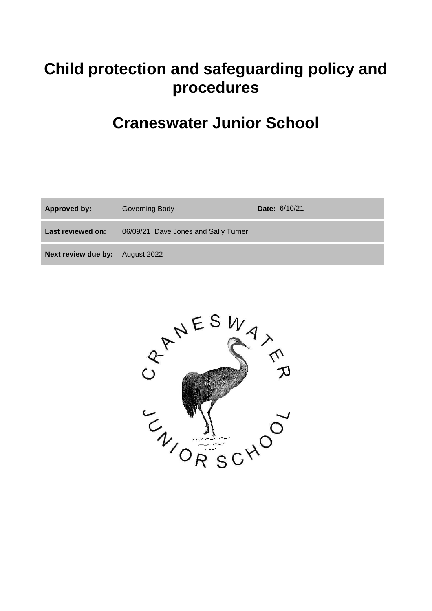# **Child protection and safeguarding policy and procedures**

# **Craneswater Junior School**

| <b>Approved by:</b> | Governing Body                       | <b>Date: 6/10/21</b> |
|---------------------|--------------------------------------|----------------------|
| Last reviewed on:   | 06/09/21 Dave Jones and Sally Turner |                      |
| Next review due by: | August 2022                          |                      |

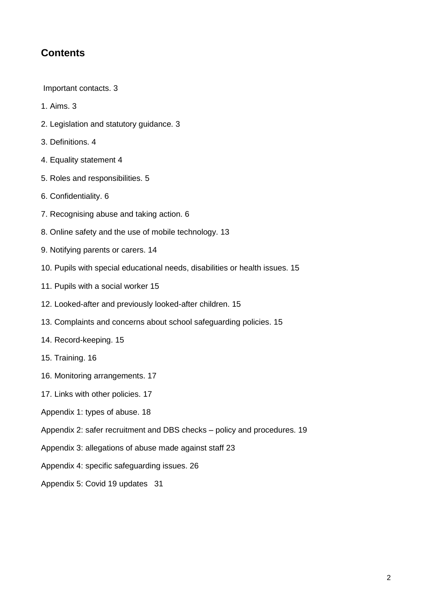# **Contents**

Important contacts. 3

- 1. Aims. 3
- 2. Legislation and statutory guidance. 3
- 3. Definitions. 4
- 4. Equality statement 4
- 5. Roles and responsibilities. 5
- 6. Confidentiality. 6
- 7. Recognising abuse and taking action. 6
- 8. Online safety and the use of mobile technology. 13
- 9. Notifying parents or carers. 14
- 10. Pupils with special educational needs, disabilities or health issues. 15
- 11. Pupils with a social worker 15
- 12. Looked-after and previously looked-after children. 15
- 13. Complaints and concerns about school safeguarding policies. 15
- 14. Record-keeping. 15
- 15. Training. 16
- 16. Monitoring arrangements. 17
- 17. Links with other policies. 17
- Appendix 1: types of abuse. 18
- Appendix 2: safer recruitment and DBS checks policy and procedures. 19
- Appendix 3: allegations of abuse made against staff 23
- Appendix 4: specific safeguarding issues. 26
- Appendix 5: Covid 19 updates 31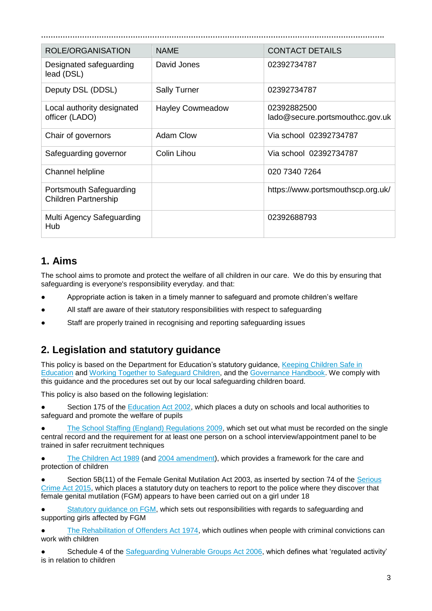| <b>ROLE/ORGANISATION</b>                               | <b>NAMF</b>             | <b>CONTACT DETAILS</b>                         |  |  |
|--------------------------------------------------------|-------------------------|------------------------------------------------|--|--|
| Designated safeguarding<br>lead (DSL)                  | David Jones             | 02392734787                                    |  |  |
| Deputy DSL (DDSL)                                      | <b>Sally Turner</b>     | 02392734787                                    |  |  |
| Local authority designated<br>officer (LADO)           | <b>Hayley Cowmeadow</b> | 02392882500<br>lado@secure.portsmouthcc.gov.uk |  |  |
| Chair of governors                                     | <b>Adam Clow</b>        | Via school 02392734787                         |  |  |
| Safeguarding governor                                  | Colin Lihou             | Via school 02392734787                         |  |  |
| Channel helpline                                       |                         | 020 7340 7264                                  |  |  |
| Portsmouth Safeguarding<br><b>Children Partnership</b> |                         | https://www.portsmouthscp.org.uk/              |  |  |
| Multi Agency Safeguarding<br>Hub                       |                         | 02392688793                                    |  |  |

# **1. Aims**

The school aims to promote and protect the welfare of all children in our care. We do this by ensuring that safeguarding is everyone's responsibility everyday. and that:

- Appropriate action is taken in a timely manner to safeguard and promote children's welfare
- All staff are aware of their statutory responsibilities with respect to safeguarding
- Staff are properly trained in recognising and reporting safeguarding issues

# **2. Legislation and statutory guidance**

This policy is based on the Department for Education's statutory guidance, [Keeping Children Safe in](https://www.gov.uk/government/publications/keeping-children-safe-in-education--2)  [Education](https://www.gov.uk/government/publications/keeping-children-safe-in-education--2) and [Working Together to Safeguard Children,](https://www.gov.uk/government/publications/working-together-to-safeguard-children--2) and the [Governance Handbook.](https://www.gov.uk/government/publications/governance-handbook) We comply with this guidance and the procedures set out by our local safeguarding children board.

This policy is also based on the following legislation:

Section 175 of the [Education Act 2002,](http://www.legislation.gov.uk/ukpga/2002/32/section/175) which places a duty on schools and local authorities to safeguard and promote the welfare of pupils

[The School Staffing \(England\) Regulations 2009,](http://www.legislation.gov.uk/uksi/2009/2680/contents/made) which set out what must be recorded on the single central record and the requirement for at least one person on a school interview/appointment panel to be trained in safer recruitment techniques

[The Children Act 1989](http://www.legislation.gov.uk/ukpga/1989/41) (and [2004 amendment\)](http://www.legislation.gov.uk/ukpga/2004/31/contents), which provides a framework for the care and protection of children

Section 5B(11) of the Female Genital Mutilation Act 2003, as inserted by section 74 of the Serious [Crime Act 2015,](http://www.legislation.gov.uk/ukpga/2015/9/part/5/crossheading/female-genital-mutilation) which places a statutory duty on teachers to report to the police where they discover that female genital mutilation (FGM) appears to have been carried out on a girl under 18

[Statutory guidance on FGM,](https://www.gov.uk/government/uploads/system/uploads/attachment_data/file/512906/Multi_Agency_Statutory_Guidance_on_FGM__-_FINAL.pdf) which sets out responsibilities with regards to safeguarding and supporting girls affected by FGM

[The Rehabilitation of Offenders Act 1974,](http://www.legislation.gov.uk/ukpga/1974/53) which outlines when people with criminal convictions can work with children

Schedule 4 of the [Safeguarding Vulnerable Groups Act 2006,](http://www.legislation.gov.uk/ukpga/2006/47/schedule/4) which defines what 'regulated activity' is in relation to children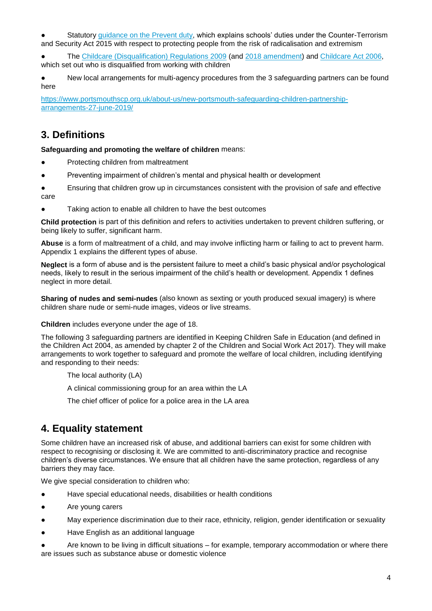Statutory [guidance on the Prevent duty,](https://www.gov.uk/government/publications/prevent-duty-guidance) which explains schools' duties under the Counter-Terrorism and Security Act 2015 with respect to protecting people from the risk of radicalisation and extremism

● The [Childcare \(Disqualification\) Regulations 2009](http://www.legislation.gov.uk/uksi/2009/1547/pdfs/uksi_20091547_en.pdf) (and [2018 amendment\)](http://www.legislation.gov.uk/uksi/2018/794/contents/made) and [Childcare Act 2006,](http://www.legislation.gov.uk/ukpga/2006/21/contents) which set out who is disqualified from working with children

New local arrangements for multi-agency procedures from the 3 safeguarding partners can be found here

[https://www.portsmouthscp.org.uk/about-us/new-portsmouth-safeguarding-children-partnership](https://www.portsmouthscp.org.uk/about-us/new-portsmouth-safeguarding-children-partnership-arrangements-27-june-2019/)[arrangements-27-june-2019/](https://www.portsmouthscp.org.uk/about-us/new-portsmouth-safeguarding-children-partnership-arrangements-27-june-2019/)

# **3. Definitions**

**Safeguarding and promoting the welfare of children** means:

- Protecting children from maltreatment
- Preventing impairment of children's mental and physical health or development
- Ensuring that children grow up in circumstances consistent with the provision of safe and effective care
- Taking action to enable all children to have the best outcomes

**Child protection** is part of this definition and refers to activities undertaken to prevent children suffering, or being likely to suffer, significant harm.

**Abuse** is a form of maltreatment of a child, and may involve inflicting harm or failing to act to prevent harm. Appendix 1 explains the different types of abuse.

**Neglect** is a form of abuse and is the persistent failure to meet a child's basic physical and/or psychological needs, likely to result in the serious impairment of the child's health or development. Appendix 1 defines neglect in more detail.

**Sharing of nudes and semi-nudes** (also known as sexting or youth produced sexual imagery) is where children share nude or semi-nude images, videos or live streams.

**Children** includes everyone under the age of 18.

The following 3 safeguarding partners are identified in Keeping Children Safe in Education (and defined in the Children Act 2004, as amended by chapter 2 of the Children and Social Work Act 2017). They will make arrangements to work together to safeguard and promote the welfare of local children, including identifying and responding to their needs:

The local authority (LA)

A clinical commissioning group for an area within the LA

The chief officer of police for a police area in the LA area

# **4. Equality statement**

Some children have an increased risk of abuse, and additional barriers can exist for some children with respect to recognising or disclosing it. We are committed to anti-discriminatory practice and recognise children's diverse circumstances. We ensure that all children have the same protection, regardless of any barriers they may face.

We give special consideration to children who:

- Have special educational needs, disabilities or health conditions
- Are young carers
- May experience discrimination due to their race, ethnicity, religion, gender identification or sexuality
- Have English as an additional language
- Are known to be living in difficult situations for example, temporary accommodation or where there are issues such as substance abuse or domestic violence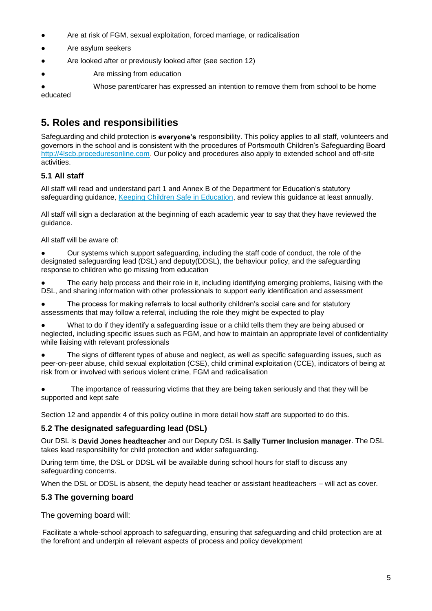- Are at risk of FGM, sexual exploitation, forced marriage, or radicalisation
- Are asylum seekers
- Are looked after or previously looked after (see section 12)
- Are missing from education

Whose parent/carer has expressed an intention to remove them from school to be home educated

# **5. Roles and responsibilities**

Safeguarding and child protection is **everyone's** responsibility. This policy applies to all staff, volunteers and governors in the school and is consistent with the procedures of Portsmouth Children's Safeguarding Board [http://4lscb.proceduresonline.com.](http://4lscb.proceduresonline.com/) Our policy and procedures also apply to extended school and off-site activities.

# **5.1 All staff**

All staff will read and understand part 1 and Annex B of the Department for Education's statutory safeguarding guidance, [Keeping Children Safe in Education,](https://www.gov.uk/government/publications/keeping-children-safe-in-education--2) and review this guidance at least annually.

All staff will sign a declaration at the beginning of each academic year to say that they have reviewed the guidance.

All staff will be aware of:

Our systems which support safeguarding, including the staff code of conduct, the role of the designated safeguarding lead (DSL) and deputy(DDSL), the behaviour policy, and the safeguarding response to children who go missing from education

The early help process and their role in it, including identifying emerging problems, liaising with the DSL, and sharing information with other professionals to support early identification and assessment

The process for making referrals to local authority children's social care and for statutory assessments that may follow a referral, including the role they might be expected to play

● What to do if they identify a safeguarding issue or a child tells them they are being abused or neglected, including specific issues such as FGM, and how to maintain an appropriate level of confidentiality while liaising with relevant professionals

The signs of different types of abuse and neglect, as well as specific safeguarding issues, such as peer-on-peer abuse, child sexual exploitation (CSE), child criminal exploitation (CCE), indicators of being at risk from or involved with serious violent crime, FGM and radicalisation

The importance of reassuring victims that they are being taken seriously and that they will be supported and kept safe

Section 12 and appendix 4 of this policy outline in more detail how staff are supported to do this.

### **5.2 The designated safeguarding lead (DSL)**

Our DSL is **David Jones headteacher** and our Deputy DSL is **Sally Turner Inclusion manager**. The DSL takes lead responsibility for child protection and wider safeguarding.

During term time, the DSL or DDSL will be available during school hours for staff to discuss any safeguarding concerns.

When the DSL or DDSL is absent, the deputy head teacher or assistant headteachers – will act as cover.

### **5.3 The governing board**

The governing board will:

Facilitate a whole-school approach to safeguarding, ensuring that safeguarding and child protection are at the forefront and underpin all relevant aspects of process and policy development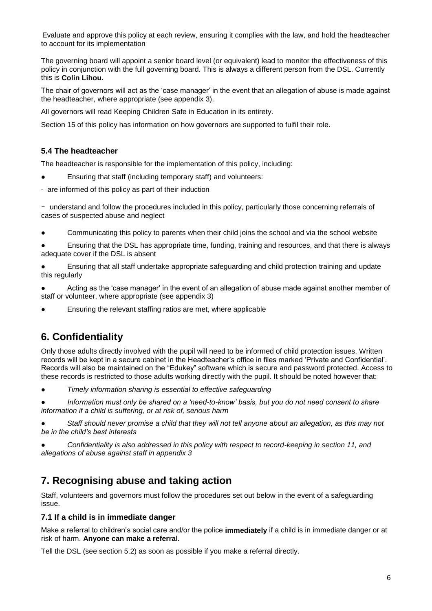Evaluate and approve this policy at each review, ensuring it complies with the law, and hold the headteacher to account for its implementation

The governing board will appoint a senior board level (or equivalent) lead to monitor the effectiveness of this policy in conjunction with the full governing board. This is always a different person from the DSL. Currently this is **Colin Lihou**.

The chair of governors will act as the 'case manager' in the event that an allegation of abuse is made against the headteacher, where appropriate (see appendix 3).

All governors will read Keeping Children Safe in Education in its entirety.

Section 15 of this policy has information on how governors are supported to fulfil their role.

### **5.4 The headteacher**

The headteacher is responsible for the implementation of this policy, including:

- Ensuring that staff (including temporary staff) and volunteers:
- are informed of this policy as part of their induction

- understand and follow the procedures included in this policy, particularly those concerning referrals of cases of suspected abuse and neglect

● Communicating this policy to parents when their child joins the school and via the school website

Ensuring that the DSL has appropriate time, funding, training and resources, and that there is always adequate cover if the DSL is absent

● Ensuring that all staff undertake appropriate safeguarding and child protection training and update this regularly

Acting as the 'case manager' in the event of an allegation of abuse made against another member of staff or volunteer, where appropriate (see appendix 3)

Ensuring the relevant staffing ratios are met, where applicable

# **6. Confidentiality**

Only those adults directly involved with the pupil will need to be informed of child protection issues. Written records will be kept in a secure cabinet in the Headteacher's office in files marked 'Private and Confidential'. Records will also be maintained on the "Edukey" software which is secure and password protected. Access to these records is restricted to those adults working directly with the pupil. It should be noted however that:

● *Timely information sharing is essential to effective safeguarding*

Information must only be shared on a 'need-to-know' basis, but you do not need consent to share *information if a child is suffering, or at risk of, serious harm*

Staff should never promise a child that they will not tell anyone about an allegation, as this may not *be in the child's best interests*

● *Confidentiality is also addressed in this policy with respect to record-keeping in section 11, and allegations of abuse against staff in appendix 3*

# **7. Recognising abuse and taking action**

Staff, volunteers and governors must follow the procedures set out below in the event of a safeguarding issue.

### **7.1 If a child is in immediate danger**

Make a referral to children's social care and/or the police **immediately** if a child is in immediate danger or at risk of harm. **Anyone can make a referral.**

Tell the DSL (see section 5.2) as soon as possible if you make a referral directly.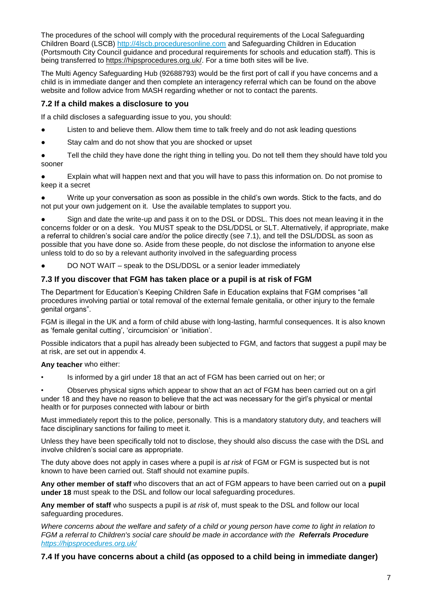The procedures of the school will comply with the procedural requirements of the Local Safeguarding Children Board (LSCB) [http://4lscb.proceduresonline.com](http://4lscb.proceduresonline.com/) and Safeguarding Children in Education (Portsmouth City Council guidance and procedural requirements for schools and education staff). This is being transferred to [https://hipsprocedures.org.uk/.](https://hipsprocedures.org.uk/) For a time both sites will be live.

The Multi Agency Safeguarding Hub (92688793) would be the first port of call if you have concerns and a child is in immediate danger and then complete an interagency referral which can be found on the above website and follow advice from MASH regarding whether or not to contact the parents.

# **7.2 If a child makes a disclosure to you**

If a child discloses a safeguarding issue to you, you should:

- Listen to and believe them. Allow them time to talk freely and do not ask leading questions
- Stay calm and do not show that you are shocked or upset

Tell the child they have done the right thing in telling you. Do not tell them they should have told you sooner

● Explain what will happen next and that you will have to pass this information on. Do not promise to keep it a secret

Write up your conversation as soon as possible in the child's own words. Stick to the facts, and do not put your own judgement on it. Use the available templates to support you.

Sign and date the write-up and pass it on to the DSL or DDSL. This does not mean leaving it in the concerns folder or on a desk. You MUST speak to the DSL/DDSL or SLT. Alternatively, if appropriate, make a referral to children's social care and/or the police directly (see 7.1), and tell the DSL/DDSL as soon as possible that you have done so. Aside from these people, do not disclose the information to anyone else unless told to do so by a relevant authority involved in the safeguarding process

DO NOT WAIT – speak to the DSL/DDSL or a senior leader immediately

### **7.3 If you discover that FGM has taken place or a pupil is at risk of FGM**

The Department for Education's Keeping Children Safe in Education explains that FGM comprises "all procedures involving partial or total removal of the external female genitalia, or other injury to the female genital organs".

FGM is illegal in the UK and a form of child abuse with long-lasting, harmful consequences. It is also known as 'female genital cutting', 'circumcision' or 'initiation'.

Possible indicators that a pupil has already been subjected to FGM, and factors that suggest a pupil may be at risk, are set out in appendix 4.

### **Any teacher** who either:

• Is informed by a girl under 18 that an act of FGM has been carried out on her; or

• Observes physical signs which appear to show that an act of FGM has been carried out on a girl under 18 and they have no reason to believe that the act was necessary for the girl's physical or mental health or for purposes connected with labour or birth

Must immediately report this to the police, personally. This is a mandatory statutory duty, and teachers will face disciplinary sanctions for failing to meet it.

Unless they have been specifically told not to disclose, they should also discuss the case with the DSL and involve children's social care as appropriate.

The duty above does not apply in cases where a pupil is *at risk* of FGM or FGM is suspected but is not known to have been carried out. Staff should not examine pupils.

**Any other member of staff** who discovers that an act of FGM appears to have been carried out on a **pupil under 18** must speak to the DSL and follow our local safeguarding procedures.

**Any member of staff** who suspects a pupil is *at risk* of, must speak to the DSL and follow our local safeguarding procedures.

*Where concerns about the welfare and safety of a child or young person have come to light in relation to FGM a referral to Children's social care should be made in accordance with the [Referrals Procedure](http://www.proceduresonline.com/4lscb/portsmouth/p_referrals.html) <https://hipsprocedures.org.uk/>*

### **7.4 If you have concerns about a child (as opposed to a child being in immediate danger)**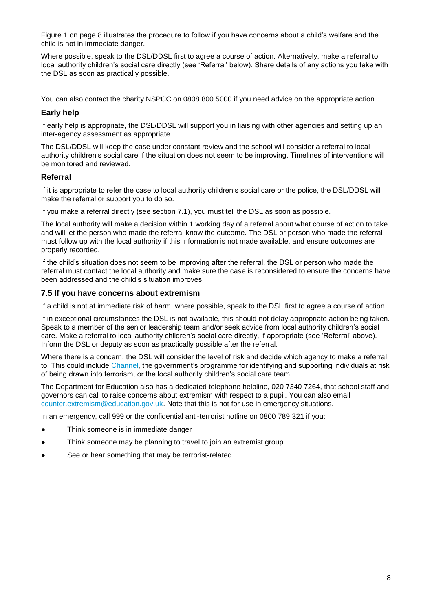Figure 1 on page 8 illustrates the procedure to follow if you have concerns about a child's welfare and the child is not in immediate danger.

Where possible, speak to the DSL/DDSL first to agree a course of action. Alternatively, make a referral to local authority children's social care directly (see 'Referral' below). Share details of any actions you take with the DSL as soon as practically possible.

You can also contact the charity NSPCC on 0808 800 5000 if you need advice on the appropriate action.

### **Early help**

If early help is appropriate, the DSL/DDSL will support you in liaising with other agencies and setting up an inter-agency assessment as appropriate.

The DSL/DDSL will keep the case under constant review and the school will consider a referral to local authority children's social care if the situation does not seem to be improving. Timelines of interventions will be monitored and reviewed.

### **Referral**

If it is appropriate to refer the case to local authority children's social care or the police, the DSL/DDSL will make the referral or support you to do so.

If you make a referral directly (see section 7.1), you must tell the DSL as soon as possible.

The local authority will make a decision within 1 working day of a referral about what course of action to take and will let the person who made the referral know the outcome. The DSL or person who made the referral must follow up with the local authority if this information is not made available, and ensure outcomes are properly recorded.

If the child's situation does not seem to be improving after the referral, the DSL or person who made the referral must contact the local authority and make sure the case is reconsidered to ensure the concerns have been addressed and the child's situation improves.

### **7.5 If you have concerns about extremism**

If a child is not at immediate risk of harm, where possible, speak to the DSL first to agree a course of action.

If in exceptional circumstances the DSL is not available, this should not delay appropriate action being taken. Speak to a member of the senior leadership team and/or seek advice from local authority children's social care. Make a referral to local authority children's social care directly, if appropriate (see 'Referral' above). Inform the DSL or deputy as soon as practically possible after the referral.

Where there is a concern, the DSL will consider the level of risk and decide which agency to make a referral to. This could include [Channel,](https://www.gov.uk/government/publications/channel-guidance) the government's programme for identifying and supporting individuals at risk of being drawn into terrorism, or the local authority children's social care team.

The Department for Education also has a dedicated telephone helpline, 020 7340 7264, that school staff and governors can call to raise concerns about extremism with respect to a pupil. You can also email [counter.extremism@education.gov.uk.](mailto:counter.extremism@education.gov.uk) Note that this is not for use in emergency situations.

In an emergency, call 999 or the confidential anti-terrorist hotline on 0800 789 321 if you:

- Think someone is in immediate danger
- Think someone may be planning to travel to join an extremist group
- See or hear something that may be terrorist-related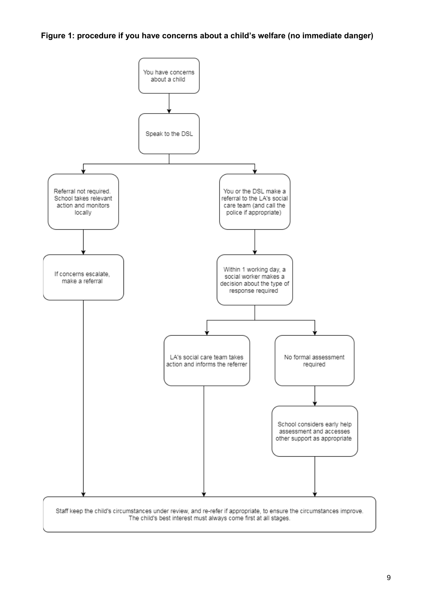### **Figure 1: procedure if you have concerns about a child's welfare (no immediate danger)**

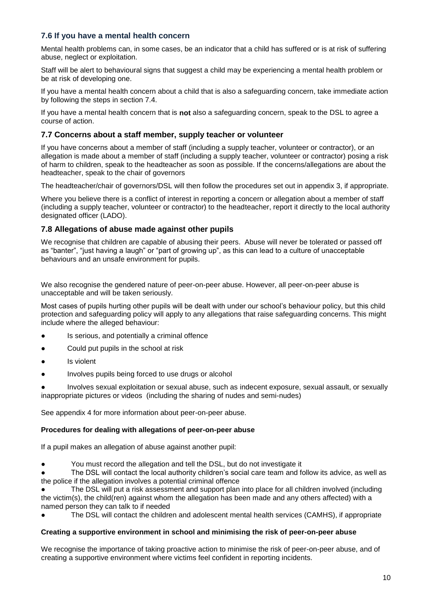### **7.6 If you have a mental health concern**

Mental health problems can, in some cases, be an indicator that a child has suffered or is at risk of suffering abuse, neglect or exploitation.

Staff will be alert to behavioural signs that suggest a child may be experiencing a mental health problem or be at risk of developing one.

If you have a mental health concern about a child that is also a safeguarding concern, take immediate action by following the steps in section 7.4.

If you have a mental health concern that is **not** also a safeguarding concern, speak to the DSL to agree a course of action.

### **7.7 Concerns about a staff member, supply teacher or volunteer**

If you have concerns about a member of staff (including a supply teacher, volunteer or contractor), or an allegation is made about a member of staff (including a supply teacher, volunteer or contractor) posing a risk of harm to children, speak to the headteacher as soon as possible. If the concerns/allegations are about the headteacher, speak to the chair of governors

The headteacher/chair of governors/DSL will then follow the procedures set out in appendix 3, if appropriate.

Where you believe there is a conflict of interest in reporting a concern or allegation about a member of staff (including a supply teacher, volunteer or contractor) to the headteacher, report it directly to the local authority designated officer (LADO).

#### **7.8 Allegations of abuse made against other pupils**

We recognise that children are capable of abusing their peers. Abuse will never be tolerated or passed off as "banter", "just having a laugh" or "part of growing up", as this can lead to a culture of unacceptable behaviours and an unsafe environment for pupils.

We also recognise the gendered nature of peer-on-peer abuse. However, all peer-on-peer abuse is unacceptable and will be taken seriously.

Most cases of pupils hurting other pupils will be dealt with under our school's behaviour policy, but this child protection and safeguarding policy will apply to any allegations that raise safeguarding concerns. This might include where the alleged behaviour:

- Is serious, and potentially a criminal offence
- Could put pupils in the school at risk
- Is violent
- Involves pupils being forced to use drugs or alcohol

Involves sexual exploitation or sexual abuse, such as indecent exposure, sexual assault, or sexually inappropriate pictures or videos (including the sharing of nudes and semi-nudes)

See appendix 4 for more information about peer-on-peer abuse.

#### **Procedures for dealing with allegations of peer-on-peer abuse**

If a pupil makes an allegation of abuse against another pupil:

You must record the allegation and tell the DSL, but do not investigate it

The DSL will contact the local authority children's social care team and follow its advice, as well as the police if the allegation involves a potential criminal offence

The DSL will put a risk assessment and support plan into place for all children involved (including the victim(s), the child(ren) against whom the allegation has been made and any others affected) with a named person they can talk to if needed

The DSL will contact the children and adolescent mental health services (CAMHS), if appropriate

#### **Creating a supportive environment in school and minimising the risk of peer-on-peer abuse**

We recognise the importance of taking proactive action to minimise the risk of peer-on-peer abuse, and of creating a supportive environment where victims feel confident in reporting incidents.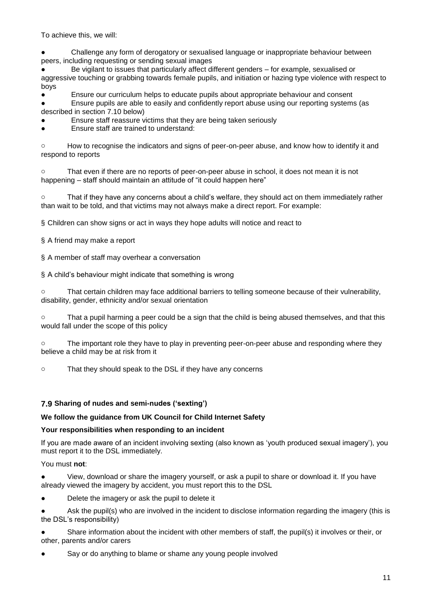To achieve this, we will:

Challenge any form of derogatory or sexualised language or inappropriate behaviour between peers, including requesting or sending sexual images

Be vigilant to issues that particularly affect different genders – for example, sexualised or aggressive touching or grabbing towards female pupils, and initiation or hazing type violence with respect to boys

Ensure our curriculum helps to educate pupils about appropriate behaviour and consent Ensure pupils are able to easily and confidently report abuse using our reporting systems (as described in section 7.10 below)

Ensure staff reassure victims that they are being taken seriously

Ensure staff are trained to understand:

o How to recognise the indicators and signs of peer-on-peer abuse, and know how to identify it and respond to reports

o That even if there are no reports of peer-on-peer abuse in school, it does not mean it is not happening – staff should maintain an attitude of "it could happen here"

o That if they have any concerns about a child's welfare, they should act on them immediately rather than wait to be told, and that victims may not always make a direct report. For example:

§ Children can show signs or act in ways they hope adults will notice and react to

§ A friend may make a report

§ A member of staff may overhear a conversation

§ A child's behaviour might indicate that something is wrong

o That certain children may face additional barriers to telling someone because of their vulnerability, disability, gender, ethnicity and/or sexual orientation

o That a pupil harming a peer could be a sign that the child is being abused themselves, and that this would fall under the scope of this policy

o The important role they have to play in preventing peer-on-peer abuse and responding where they believe a child may be at risk from it

o That they should speak to the DSL if they have any concerns

### **7.9 Sharing of nudes and semi-nudes ('sexting')**

### **We follow the guidance from UK Council for Child Internet Safety**

### **Your responsibilities when responding to an incident**

If you are made aware of an incident involving sexting (also known as 'youth produced sexual imagery'), you must report it to the DSL immediately.

### You must **not**:

View, download or share the imagery yourself, or ask a pupil to share or download it. If you have already viewed the imagery by accident, you must report this to the DSL

● Delete the imagery or ask the pupil to delete it

● Ask the pupil(s) who are involved in the incident to disclose information regarding the imagery (this is the DSL's responsibility)

Share information about the incident with other members of staff, the pupil(s) it involves or their, or other, parents and/or carers

Say or do anything to blame or shame any young people involved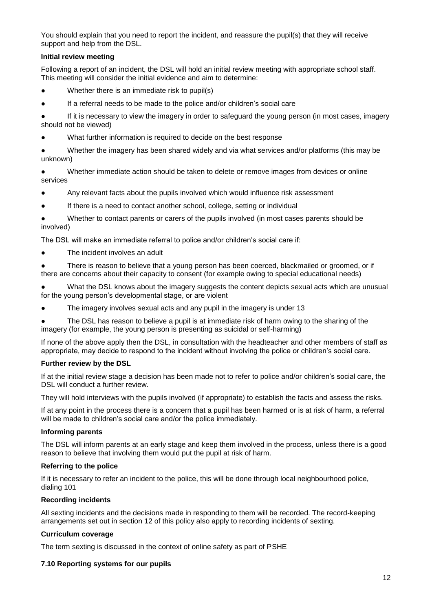You should explain that you need to report the incident, and reassure the pupil(s) that they will receive support and help from the DSL.

#### **Initial review meeting**

Following a report of an incident, the DSL will hold an initial review meeting with appropriate school staff. This meeting will consider the initial evidence and aim to determine:

- Whether there is an immediate risk to pupil(s)
- If a referral needs to be made to the police and/or children's social care

● If it is necessary to view the imagery in order to safeguard the young person (in most cases, imagery should not be viewed)

What further information is required to decide on the best response

● Whether the imagery has been shared widely and via what services and/or platforms (this may be unknown)

● Whether immediate action should be taken to delete or remove images from devices or online services

- Any relevant facts about the pupils involved which would influence risk assessment
- If there is a need to contact another school, college, setting or individual

Whether to contact parents or carers of the pupils involved (in most cases parents should be involved)

The DSL will make an immediate referral to police and/or children's social care if:

● The incident involves an adult

● There is reason to believe that a young person has been coerced, blackmailed or groomed, or if there are concerns about their capacity to consent (for example owing to special educational needs)

What the DSL knows about the imagery suggests the content depicts sexual acts which are unusual for the young person's developmental stage, or are violent

- The imagery involves sexual acts and any pupil in the imagery is under 13
- The DSL has reason to believe a pupil is at immediate risk of harm owing to the sharing of the imagery (for example, the young person is presenting as suicidal or self-harming)

If none of the above apply then the DSL, in consultation with the headteacher and other members of staff as appropriate, may decide to respond to the incident without involving the police or children's social care.

#### **Further review by the DSL**

If at the initial review stage a decision has been made not to refer to police and/or children's social care, the DSL will conduct a further review.

They will hold interviews with the pupils involved (if appropriate) to establish the facts and assess the risks.

If at any point in the process there is a concern that a pupil has been harmed or is at risk of harm, a referral will be made to children's social care and/or the police immediately.

#### **Informing parents**

The DSL will inform parents at an early stage and keep them involved in the process, unless there is a good reason to believe that involving them would put the pupil at risk of harm.

#### **Referring to the police**

If it is necessary to refer an incident to the police, this will be done through local neighbourhood police, dialing 101

#### **Recording incidents**

All sexting incidents and the decisions made in responding to them will be recorded. The record-keeping arrangements set out in section 12 of this policy also apply to recording incidents of sexting.

#### **Curriculum coverage**

The term sexting is discussed in the context of online safety as part of PSHE

#### **7.10 Reporting systems for our pupils**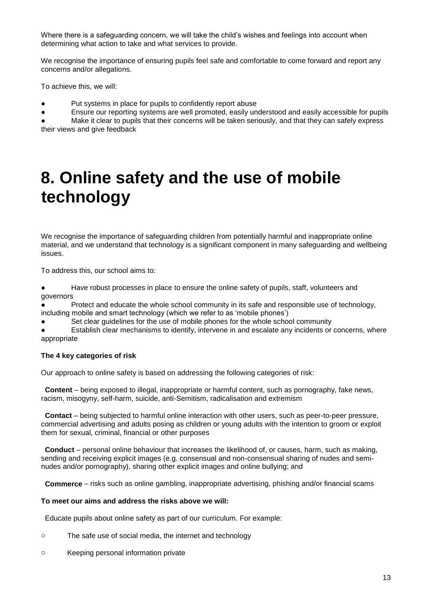Where there is a safeguarding concern, we will take the child's wishes and feelings into account when determining what action to take and what services to provide.

We recognise the importance of ensuring pupils feel safe and comfortable to come forward and report any concerns and/or allegations.

To achieve this, we will:

- Put systems in place for pupils to confidently report abuse
- Ensure our reporting systems are well promoted, easily understood and easily accessible for pupils

● Make it clear to pupils that their concerns will be taken seriously, and that they can safely express their views and give feedback

# **8. Online safety and the use of mobile technology**

We recognise the importance of safeguarding children from potentially harmful and inappropriate online material, and we understand that technology is a significant component in many safeguarding and wellbeing issues.

To address this, our school aims to:

● Have robust processes in place to ensure the online safety of pupils, staff, volunteers and governors

Protect and educate the whole school community in its safe and responsible use of technology, including mobile and smart technology (which we refer to as 'mobile phones')

Set clear guidelines for the use of mobile phones for the whole school community

Establish clear mechanisms to identify, intervene in and escalate any incidents or concerns, where appropriate

### **The 4 key categories of risk**

Our approach to online safety is based on addressing the following categories of risk:

 **Content** – being exposed to illegal, inappropriate or harmful content, such as pornography, fake news, racism, misogyny, self-harm, suicide, anti-Semitism, radicalisation and extremism

 **Contact** – being subjected to harmful online interaction with other users, such as peer-to-peer pressure, commercial advertising and adults posing as children or young adults with the intention to groom or exploit them for sexual, criminal, financial or other purposes

 **Conduct** – personal online behaviour that increases the likelihood of, or causes, harm, such as making, sending and receiving explicit images (e.g. consensual and non-consensual sharing of nudes and seminudes and/or pornography), sharing other explicit images and online bullying; and

**Commerce** – risks such as online gambling, inappropriate advertising, phishing and/or financial scams

#### **To meet our aims and address the risks above we will:**

Educate pupils about online safety as part of our curriculum. For example:

- o The safe use of social media, the internet and technology
- o Keeping personal information private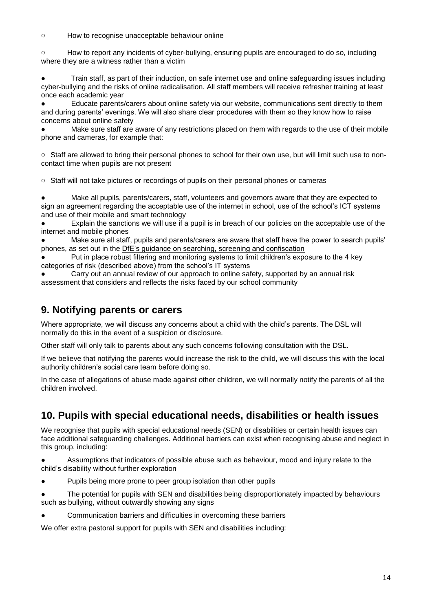o How to recognise unacceptable behaviour online

o How to report any incidents of cyber-bullying, ensuring pupils are encouraged to do so, including where they are a witness rather than a victim

Train staff, as part of their induction, on safe internet use and online safeguarding issues including cyber-bullying and the risks of online radicalisation. All staff members will receive refresher training at least once each academic year

Educate parents/carers about online safety via our website, communications sent directly to them and during parents' evenings. We will also share clear procedures with them so they know how to raise concerns about online safety

Make sure staff are aware of any restrictions placed on them with regards to the use of their mobile phone and cameras, for example that:

o Staff are allowed to bring their personal phones to school for their own use, but will limit such use to noncontact time when pupils are not present

o Staff will not take pictures or recordings of pupils on their personal phones or cameras

● Make all pupils, parents/carers, staff, volunteers and governors aware that they are expected to sign an agreement regarding the acceptable use of the internet in school, use of the school's ICT systems and use of their mobile and smart technology

Explain the sanctions we will use if a pupil is in breach of our policies on the acceptable use of the internet and mobile phones

● Make sure all staff, pupils and parents/carers are aware that staff have the power to search pupils' phones, as set out in the [DfE's guidance on searching, screening and confiscation](https://www.gov.uk/government/publications/searching-screening-and-confiscation)

Put in place robust filtering and monitoring systems to limit children's exposure to the 4 key categories of risk (described above) from the school's IT systems

Carry out an annual review of our approach to online safety, supported by an annual risk assessment that considers and reflects the risks faced by our school community

# **9. Notifying parents or carers**

Where appropriate, we will discuss any concerns about a child with the child's parents. The DSL will normally do this in the event of a suspicion or disclosure.

Other staff will only talk to parents about any such concerns following consultation with the DSL.

If we believe that notifying the parents would increase the risk to the child, we will discuss this with the local authority children's social care team before doing so.

In the case of allegations of abuse made against other children, we will normally notify the parents of all the children involved.

# **10. Pupils with special educational needs, disabilities or health issues**

We recognise that pupils with special educational needs (SEN) or disabilities or certain health issues can face additional safeguarding challenges. Additional barriers can exist when recognising abuse and neglect in this group, including:

● Assumptions that indicators of possible abuse such as behaviour, mood and injury relate to the child's disability without further exploration

- Pupils being more prone to peer group isolation than other pupils
- The potential for pupils with SEN and disabilities being disproportionately impacted by behaviours such as bullying, without outwardly showing any signs
- Communication barriers and difficulties in overcoming these barriers

We offer extra pastoral support for pupils with SEN and disabilities including: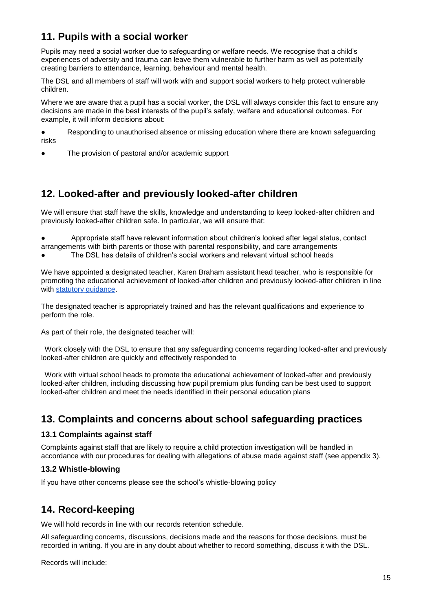# **11. Pupils with a social worker**

Pupils may need a social worker due to safeguarding or welfare needs. We recognise that a child's experiences of adversity and trauma can leave them vulnerable to further harm as well as potentially creating barriers to attendance, learning, behaviour and mental health.

The DSL and all members of staff will work with and support social workers to help protect vulnerable children.

Where we are aware that a pupil has a social worker, the DSL will always consider this fact to ensure any decisions are made in the best interests of the pupil's safety, welfare and educational outcomes. For example, it will inform decisions about:

● Responding to unauthorised absence or missing education where there are known safeguarding risks

The provision of pastoral and/or academic support

# **12. Looked-after and previously looked-after children**

We will ensure that staff have the skills, knowledge and understanding to keep looked-after children and previously looked-after children safe. In particular, we will ensure that:

Appropriate staff have relevant information about children's looked after legal status, contact arrangements with birth parents or those with parental responsibility, and care arrangements

The DSL has details of children's social workers and relevant virtual school heads

We have appointed a designated teacher, Karen Braham assistant head teacher, who is responsible for promoting the educational achievement of looked-after children and previously looked-after children in line with [statutory guidance.](https://www.gov.uk/government/publications/designated-teacher-for-looked-after-children)

The designated teacher is appropriately trained and has the relevant qualifications and experience to perform the role.

As part of their role, the designated teacher will:

 Work closely with the DSL to ensure that any safeguarding concerns regarding looked-after and previously looked-after children are quickly and effectively responded to

 Work with virtual school heads to promote the educational achievement of looked-after and previously looked-after children, including discussing how pupil premium plus funding can be best used to support looked-after children and meet the needs identified in their personal education plans

# **13. Complaints and concerns about school safeguarding practices**

### **13.1 Complaints against staff**

Complaints against staff that are likely to require a child protection investigation will be handled in accordance with our procedures for dealing with allegations of abuse made against staff (see appendix 3).

### **13.2 Whistle-blowing**

If you have other concerns please see the school's whistle-blowing policy

# **14. Record-keeping**

We will hold records in line with our records retention schedule.

All safeguarding concerns, discussions, decisions made and the reasons for those decisions, must be recorded in writing. If you are in any doubt about whether to record something, discuss it with the DSL.

Records will include: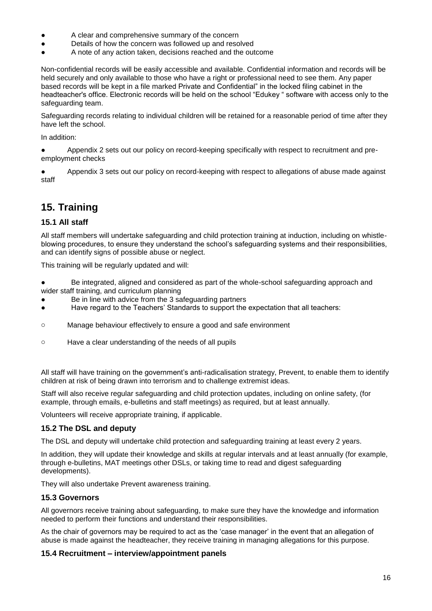- A clear and comprehensive summary of the concern
- Details of how the concern was followed up and resolved
- A note of any action taken, decisions reached and the outcome

Non-confidential records will be easily accessible and available. Confidential information and records will be held securely and only available to those who have a right or professional need to see them. Any paper based records will be kept in a file marked Private and Confidential" in the locked filing cabinet in the headteacher's office. Electronic records will be held on the school "Edukey " software with access only to the safeguarding team.

Safeguarding records relating to individual children will be retained for a reasonable period of time after they have left the school.

In addition:

● Appendix 2 sets out our policy on record-keeping specifically with respect to recruitment and preemployment checks

Appendix 3 sets out our policy on record-keeping with respect to allegations of abuse made against staff

# **15. Training**

# **15.1 All staff**

All staff members will undertake safeguarding and child protection training at induction, including on whistleblowing procedures, to ensure they understand the school's safeguarding systems and their responsibilities, and can identify signs of possible abuse or neglect.

This training will be regularly updated and will:

- Be integrated, aligned and considered as part of the whole-school safeguarding approach and wider staff training, and curriculum planning
- Be in line with advice from the 3 safeguarding partners
- Have regard to the Teachers' Standards to support the expectation that all teachers:
- o Manage behaviour effectively to ensure a good and safe environment
- o Have a clear understanding of the needs of all pupils

All staff will have training on the government's anti-radicalisation strategy, Prevent, to enable them to identify children at risk of being drawn into terrorism and to challenge extremist ideas.

Staff will also receive regular safeguarding and child protection updates, including on online safety, (for example, through emails, e-bulletins and staff meetings) as required, but at least annually.

Volunteers will receive appropriate training, if applicable.

### **15.2 The DSL and deputy**

The DSL and deputy will undertake child protection and safeguarding training at least every 2 years.

In addition, they will update their knowledge and skills at regular intervals and at least annually (for example, through e-bulletins, MAT meetings other DSLs, or taking time to read and digest safeguarding developments).

They will also undertake Prevent awareness training.

### **15.3 Governors**

All governors receive training about safeguarding, to make sure they have the knowledge and information needed to perform their functions and understand their responsibilities.

As the chair of governors may be required to act as the 'case manager' in the event that an allegation of abuse is made against the headteacher, they receive training in managing allegations for this purpose.

### **15.4 Recruitment – interview/appointment panels**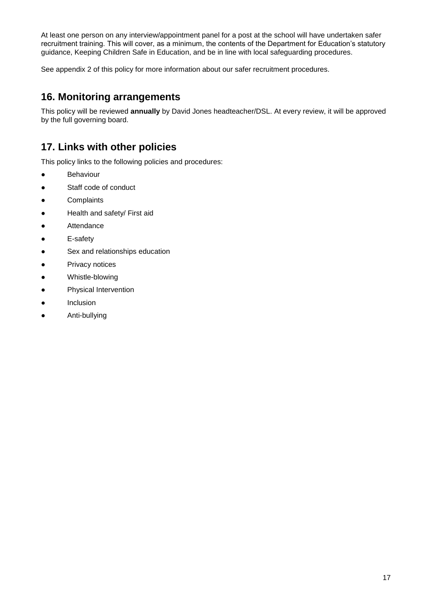At least one person on any interview/appointment panel for a post at the school will have undertaken safer recruitment training. This will cover, as a minimum, the contents of the Department for Education's statutory guidance, Keeping Children Safe in Education, and be in line with local safeguarding procedures.

See appendix 2 of this policy for more information about our safer recruitment procedures.

# **16. Monitoring arrangements**

This policy will be reviewed **annually** by David Jones headteacher/DSL. At every review, it will be approved by the full governing board.

# **17. Links with other policies**

This policy links to the following policies and procedures:

- Behaviour
- Staff code of conduct
- Complaints
- Health and safety/ First aid
- Attendance
- E-safety
- Sex and relationships education
- Privacy notices
- Whistle-blowing
- Physical Intervention
- Inclusion
- Anti-bullying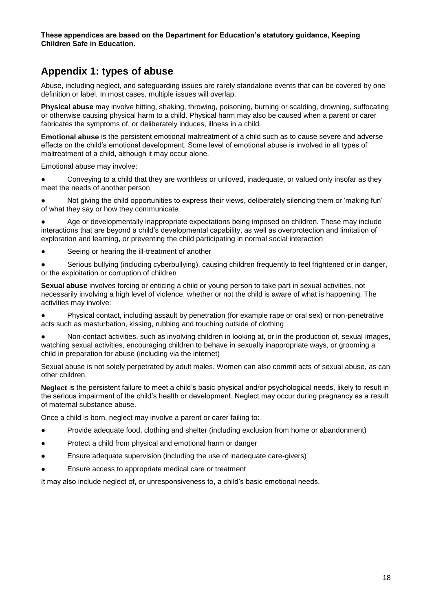**These appendices are based on the Department for Education's statutory guidance, Keeping Children Safe in Education.**

# **Appendix 1: types of abuse**

Abuse, including neglect, and safeguarding issues are rarely standalone events that can be covered by one definition or label. In most cases, multiple issues will overlap.

**Physical abuse** may involve hitting, shaking, throwing, poisoning, burning or scalding, drowning, suffocating or otherwise causing physical harm to a child. Physical harm may also be caused when a parent or carer fabricates the symptoms of, or deliberately induces, illness in a child.

**Emotional abuse** is the persistent emotional maltreatment of a child such as to cause severe and adverse effects on the child's emotional development. Some level of emotional abuse is involved in all types of maltreatment of a child, although it may occur alone.

Emotional abuse may involve:

Conveying to a child that they are worthless or unloved, inadequate, or valued only insofar as they meet the needs of another person

● Not giving the child opportunities to express their views, deliberately silencing them or 'making fun' of what they say or how they communicate

Age or developmentally inappropriate expectations being imposed on children. These may include interactions that are beyond a child's developmental capability, as well as overprotection and limitation of exploration and learning, or preventing the child participating in normal social interaction

- Seeing or hearing the ill-treatment of another
- Serious bullying (including cyberbullying), causing children frequently to feel frightened or in danger, or the exploitation or corruption of children

**Sexual abuse** involves forcing or enticing a child or young person to take part in sexual activities, not necessarily involving a high level of violence, whether or not the child is aware of what is happening. The activities may involve:

● Physical contact, including assault by penetration (for example rape or oral sex) or non-penetrative acts such as masturbation, kissing, rubbing and touching outside of clothing

● Non-contact activities, such as involving children in looking at, or in the production of, sexual images, watching sexual activities, encouraging children to behave in sexually inappropriate ways, or grooming a child in preparation for abuse (including via the internet)

Sexual abuse is not solely perpetrated by adult males. Women can also commit acts of sexual abuse, as can other children.

**Neglect** is the persistent failure to meet a child's basic physical and/or psychological needs, likely to result in the serious impairment of the child's health or development. Neglect may occur during pregnancy as a result of maternal substance abuse.

Once a child is born, neglect may involve a parent or carer failing to:

- Provide adequate food, clothing and shelter (including exclusion from home or abandonment)
- Protect a child from physical and emotional harm or danger
- Ensure adequate supervision (including the use of inadequate care-givers)
- Ensure access to appropriate medical care or treatment

It may also include neglect of, or unresponsiveness to, a child's basic emotional needs.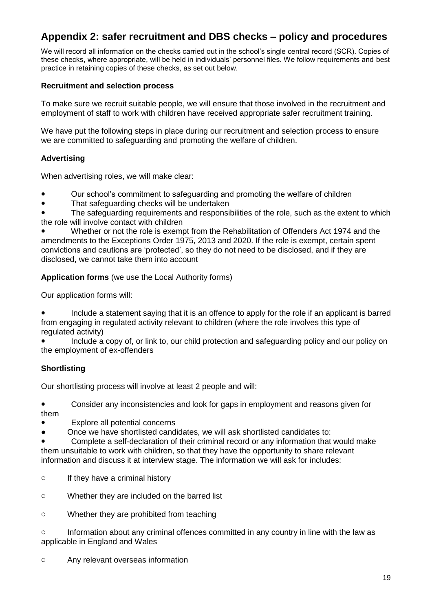# **Appendix 2: safer recruitment and DBS checks – policy and procedures**

We will record all information on the checks carried out in the school's single central record (SCR). Copies of these checks, where appropriate, will be held in individuals' personnel files. We follow requirements and best practice in retaining copies of these checks, as set out below.

# **Recruitment and selection process**

To make sure we recruit suitable people, we will ensure that those involved in the recruitment and employment of staff to work with children have received appropriate safer recruitment training.

We have put the following steps in place during our recruitment and selection process to ensure we are committed to safeguarding and promoting the welfare of children.

# **Advertising**

When advertising roles, we will make clear:

- Our school's commitment to safeguarding and promoting the welfare of children
- That safeguarding checks will be undertaken

The safeguarding requirements and responsibilities of the role, such as the extent to which the role will involve contact with children

Whether or not the role is exempt from the Rehabilitation of Offenders Act 1974 and the amendments to the Exceptions Order 1975, 2013 and 2020. If the role is exempt, certain spent convictions and cautions are 'protected', so they do not need to be disclosed, and if they are disclosed, we cannot take them into account

**Application forms** (we use the Local Authority forms)

Our application forms will:

• Include a statement saying that it is an offence to apply for the role if an applicant is barred from engaging in regulated activity relevant to children (where the role involves this type of regulated activity)

Include a copy of, or link to, our child protection and safeguarding policy and our policy on the employment of ex-offenders

# **Shortlisting**

Our shortlisting process will involve at least 2 people and will:

● Consider any inconsistencies and look for gaps in employment and reasons given for them

Explore all potential concerns

Once we have shortlisted candidates, we will ask shortlisted candidates to:

Complete a self-declaration of their criminal record or any information that would make them unsuitable to work with children, so that they have the opportunity to share relevant information and discuss it at interview stage. The information we will ask for includes:

- o If they have a criminal history
- o Whether they are included on the barred list
- o Whether they are prohibited from teaching

 $\circ$  Information about any criminal offences committed in any country in line with the law as applicable in England and Wales

o Any relevant overseas information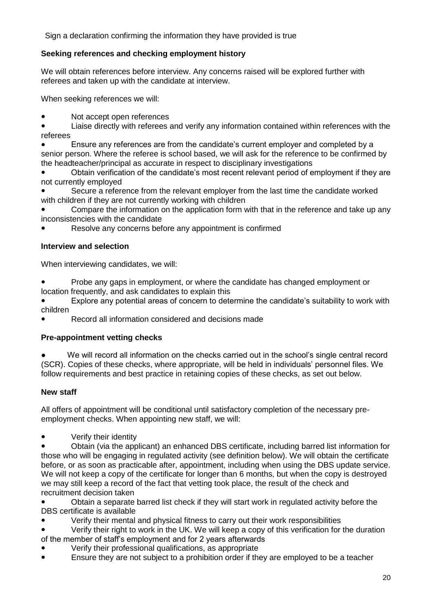Sign a declaration confirming the information they have provided is true

# **Seeking references and checking employment history**

We will obtain references before interview. Any concerns raised will be explored further with referees and taken up with the candidate at interview.

When seeking references we will:

● Not accept open references

● Liaise directly with referees and verify any information contained within references with the referees

Ensure any references are from the candidate's current employer and completed by a senior person. Where the referee is school based, we will ask for the reference to be confirmed by the headteacher/principal as accurate in respect to disciplinary investigations

Obtain verification of the candidate's most recent relevant period of employment if they are not currently employed

Secure a reference from the relevant employer from the last time the candidate worked with children if they are not currently working with children

Compare the information on the application form with that in the reference and take up any inconsistencies with the candidate

Resolve any concerns before any appointment is confirmed

# **Interview and selection**

When interviewing candidates, we will:

Probe any gaps in employment, or where the candidate has changed employment or location frequently, and ask candidates to explain this

Explore any potential areas of concern to determine the candidate's suitability to work with children

Record all information considered and decisions made

### **Pre-appointment vetting checks**

We will record all information on the checks carried out in the school's single central record (SCR). Copies of these checks, where appropriate, will be held in individuals' personnel files. We follow requirements and best practice in retaining copies of these checks, as set out below.

# **New staff**

All offers of appointment will be conditional until satisfactory completion of the necessary preemployment checks. When appointing new staff, we will:

●Verify their identity

Obtain (via the applicant) an enhanced DBS certificate, including barred list information for those who will be engaging in regulated activity (see definition below). We will obtain the certificate before, or as soon as practicable after, appointment, including when using the DBS update service. We will not keep a copy of the certificate for longer than 6 months, but when the copy is destroyed we may still keep a record of the fact that vetting took place, the result of the check and recruitment decision taken

Obtain a separate barred list check if they will start work in regulated activity before the DBS certificate is available

Verify their mental and physical fitness to carry out their work responsibilities

Verify their right to work in the UK. We will keep a copy of this verification for the duration of the member of staff's employment and for 2 years afterwards

- Verify their professional qualifications, as appropriate
- Ensure they are not subject to a prohibition order if they are employed to be a teacher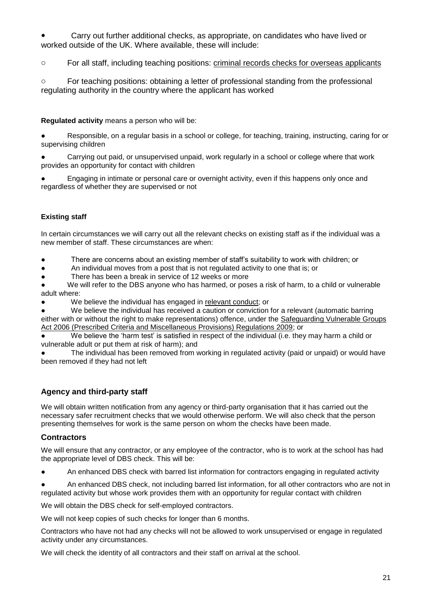Carry out further additional checks, as appropriate, on candidates who have lived or worked outside of the UK. Where available, these will include:

o For all staff, including teaching positions: [criminal records checks for overseas applicants](https://www.gov.uk/government/publications/criminal-records-checks-for-overseas-applicants)

o For teaching positions: obtaining a letter of professional standing from the professional regulating authority in the country where the applicant has worked

**Regulated activity** means a person who will be:

● Responsible, on a regular basis in a school or college, for teaching, training, instructing, caring for or supervising children

● Carrying out paid, or unsupervised unpaid, work regularly in a school or college where that work provides an opportunity for contact with children

Engaging in intimate or personal care or overnight activity, even if this happens only once and regardless of whether they are supervised or not

### **Existing staff**

In certain circumstances we will carry out all the relevant checks on existing staff as if the individual was a new member of staff. These circumstances are when:

● There are concerns about an existing member of staff's suitability to work with children; or

● An individual moves from a post that is not regulated activity to one that is; or

There has been a break in service of 12 weeks or more

We will refer to the DBS anyone who has harmed, or poses a risk of harm, to a child or vulnerable adult where:

We believe the individual has engaged in [relevant conduct;](https://www.gov.uk/guidance/making-barring-referrals-to-the-dbs#relevant-conduct-in-relation-to-children) or

We believe the individual has received a caution or conviction for a relevant (automatic barring

either with or without the right to make representations) offence, under the [Safeguarding Vulnerable Groups](http://www.legislation.gov.uk/uksi/2009/37/contents/made)  [Act 2006 \(Prescribed Criteria and Miscellaneous Provisions\) Regulations 2009;](http://www.legislation.gov.uk/uksi/2009/37/contents/made) or

We believe the 'harm test' is satisfied in respect of the individual (i.e. they may harm a child or vulnerable adult or put them at risk of harm); and

The individual has been removed from working in regulated activity (paid or unpaid) or would have been removed if they had not left

# **Agency and third-party staff**

We will obtain written notification from any agency or third-party organisation that it has carried out the necessary safer recruitment checks that we would otherwise perform. We will also check that the person presenting themselves for work is the same person on whom the checks have been made.

### **Contractors**

We will ensure that any contractor, or any employee of the contractor, who is to work at the school has had the appropriate level of DBS check. This will be:

An enhanced DBS check with barred list information for contractors engaging in regulated activity

An enhanced DBS check, not including barred list information, for all other contractors who are not in regulated activity but whose work provides them with an opportunity for regular contact with children

We will obtain the DBS check for self-employed contractors.

We will not keep copies of such checks for longer than 6 months.

Contractors who have not had any checks will not be allowed to work unsupervised or engage in regulated activity under any circumstances.

We will check the identity of all contractors and their staff on arrival at the school.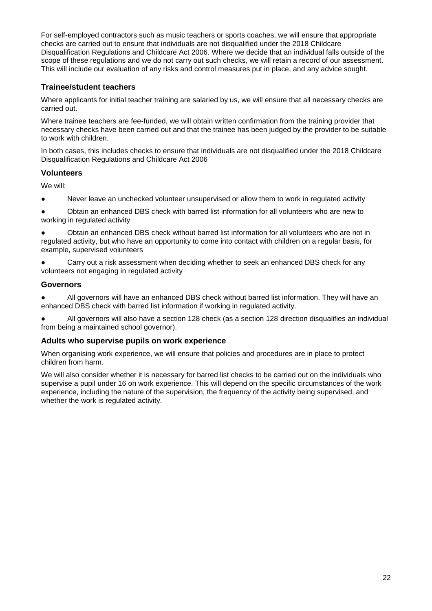For self-employed contractors such as music teachers or sports coaches, we will ensure that appropriate checks are carried out to ensure that individuals are not disqualified under the 2018 Childcare Disqualification Regulations and Childcare Act 2006. Where we decide that an individual falls outside of the scope of these regulations and we do not carry out such checks, we will retain a record of our assessment. This will include our evaluation of any risks and control measures put in place, and any advice sought.

# **Trainee/student teachers**

Where applicants for initial teacher training are salaried by us, we will ensure that all necessary checks are carried out.

Where trainee teachers are fee-funded, we will obtain written confirmation from the training provider that necessary checks have been carried out and that the trainee has been judged by the provider to be suitable to work with children.

In both cases, this includes checks to ensure that individuals are not disqualified under the 2018 Childcare Disqualification Regulations and Childcare Act 2006

### **Volunteers**

We will:

● Never leave an unchecked volunteer unsupervised or allow them to work in regulated activity

● Obtain an enhanced DBS check with barred list information for all volunteers who are new to working in regulated activity

Obtain an enhanced DBS check without barred list information for all volunteers who are not in regulated activity, but who have an opportunity to come into contact with children on a regular basis, for example, supervised volunteers

Carry out a risk assessment when deciding whether to seek an enhanced DBS check for any volunteers not engaging in regulated activity

### **Governors**

● All governors will have an enhanced DBS check without barred list information. They will have an enhanced DBS check with barred list information if working in regulated activity.

All governors will also have a section 128 check (as a section 128 direction disqualifies an individual from being a maintained school governor).

### **Adults who supervise pupils on work experience**

When organising work experience, we will ensure that policies and procedures are in place to protect children from harm.

We will also consider whether it is necessary for barred list checks to be carried out on the individuals who supervise a pupil under 16 on work experience. This will depend on the specific circumstances of the work experience, including the nature of the supervision, the frequency of the activity being supervised, and whether the work is regulated activity.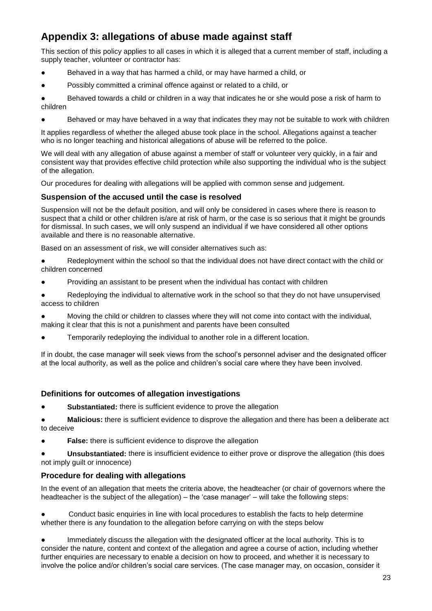# **Appendix 3: allegations of abuse made against staff**

This section of this policy applies to all cases in which it is alleged that a current member of staff, including a supply teacher, volunteer or contractor has:

- Behaved in a way that has harmed a child, or may have harmed a child, or
- Possibly committed a criminal offence against or related to a child, or

Behaved towards a child or children in a way that indicates he or she would pose a risk of harm to children

● Behaved or may have behaved in a way that indicates they may not be suitable to work with children

It applies regardless of whether the alleged abuse took place in the school. Allegations against a teacher who is no longer teaching and historical allegations of abuse will be referred to the police.

We will deal with any allegation of abuse against a member of staff or volunteer very quickly, in a fair and consistent way that provides effective child protection while also supporting the individual who is the subject of the allegation.

Our procedures for dealing with allegations will be applied with common sense and judgement.

### **Suspension of the accused until the case is resolved**

Suspension will not be the default position, and will only be considered in cases where there is reason to suspect that a child or other children is/are at risk of harm, or the case is so serious that it might be grounds for dismissal. In such cases, we will only suspend an individual if we have considered all other options available and there is no reasonable alternative.

Based on an assessment of risk, we will consider alternatives such as:

- Redeployment within the school so that the individual does not have direct contact with the child or children concerned
- Providing an assistant to be present when the individual has contact with children
- Redeploying the individual to alternative work in the school so that they do not have unsupervised access to children
- Moving the child or children to classes where they will not come into contact with the individual, making it clear that this is not a punishment and parents have been consulted
- Temporarily redeploying the individual to another role in a different location.

If in doubt, the case manager will seek views from the school's personnel adviser and the designated officer at the local authority, as well as the police and children's social care where they have been involved.

### **Definitions for outcomes of allegation investigations**

- **Substantiated:** there is sufficient evidence to prove the allegation
- **Malicious:** there is sufficient evidence to disprove the allegation and there has been a deliberate act to deceive
- **False:** there is sufficient evidence to disprove the allegation

Unsubstantiated: there is insufficient evidence to either prove or disprove the allegation (this does not imply guilt or innocence)

### **Procedure for dealing with allegations**

In the event of an allegation that meets the criteria above, the headteacher (or chair of governors where the headteacher is the subject of the allegation) – the 'case manager' – will take the following steps:

Conduct basic enquiries in line with local procedures to establish the facts to help determine whether there is any foundation to the allegation before carrying on with the steps below

Immediately discuss the allegation with the designated officer at the local authority. This is to consider the nature, content and context of the allegation and agree a course of action, including whether further enquiries are necessary to enable a decision on how to proceed, and whether it is necessary to involve the police and/or children's social care services. (The case manager may, on occasion, consider it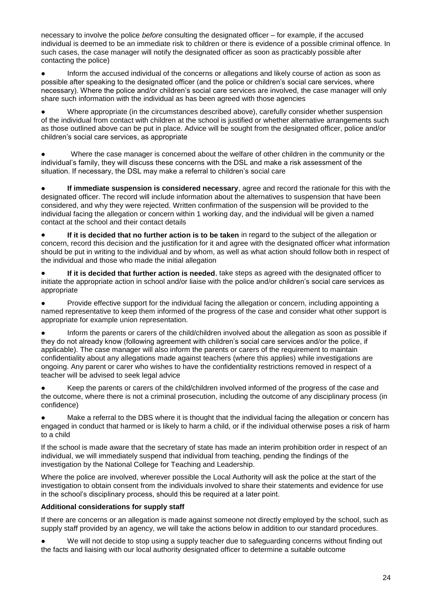necessary to involve the police *before* consulting the designated officer – for example, if the accused individual is deemed to be an immediate risk to children or there is evidence of a possible criminal offence. In such cases, the case manager will notify the designated officer as soon as practicably possible after contacting the police)

Inform the accused individual of the concerns or allegations and likely course of action as soon as possible after speaking to the designated officer (and the police or children's social care services, where necessary). Where the police and/or children's social care services are involved, the case manager will only share such information with the individual as has been agreed with those agencies

Where appropriate (in the circumstances described above), carefully consider whether suspension of the individual from contact with children at the school is justified or whether alternative arrangements such as those outlined above can be put in place. Advice will be sought from the designated officer, police and/or children's social care services, as appropriate

Where the case manager is concerned about the welfare of other children in the community or the individual's family, they will discuss these concerns with the DSL and make a risk assessment of the situation. If necessary, the DSL may make a referral to children's social care

**If immediate suspension is considered necessary**, agree and record the rationale for this with the designated officer. The record will include information about the alternatives to suspension that have been considered, and why they were rejected. Written confirmation of the suspension will be provided to the individual facing the allegation or concern within 1 working day, and the individual will be given a named contact at the school and their contact details

● **If it is decided that no further action is to be taken** in regard to the subject of the allegation or concern, record this decision and the justification for it and agree with the designated officer what information should be put in writing to the individual and by whom, as well as what action should follow both in respect of the individual and those who made the initial allegation

**If it is decided that further action is needed**, take steps as agreed with the designated officer to initiate the appropriate action in school and/or liaise with the police and/or children's social care services as appropriate

Provide effective support for the individual facing the allegation or concern, including appointing a named representative to keep them informed of the progress of the case and consider what other support is appropriate for example union representation.

Inform the parents or carers of the child/children involved about the allegation as soon as possible if they do not already know (following agreement with children's social care services and/or the police, if applicable). The case manager will also inform the parents or carers of the requirement to maintain confidentiality about any allegations made against teachers (where this applies) while investigations are ongoing. Any parent or carer who wishes to have the confidentiality restrictions removed in respect of a teacher will be advised to seek legal advice

Keep the parents or carers of the child/children involved informed of the progress of the case and the outcome, where there is not a criminal prosecution, including the outcome of any disciplinary process (in confidence)

Make a referral to the DBS where it is thought that the individual facing the allegation or concern has engaged in conduct that harmed or is likely to harm a child, or if the individual otherwise poses a risk of harm to a child

If the school is made aware that the secretary of state has made an interim prohibition order in respect of an individual, we will immediately suspend that individual from teaching, pending the findings of the investigation by the National College for Teaching and Leadership.

Where the police are involved, wherever possible the Local Authority will ask the police at the start of the investigation to obtain consent from the individuals involved to share their statements and evidence for use in the school's disciplinary process, should this be required at a later point.

### **Additional considerations for supply staff**

If there are concerns or an allegation is made against someone not directly employed by the school, such as supply staff provided by an agency, we will take the actions below in addition to our standard procedures.

We will not decide to stop using a supply teacher due to safeguarding concerns without finding out the facts and liaising with our local authority designated officer to determine a suitable outcome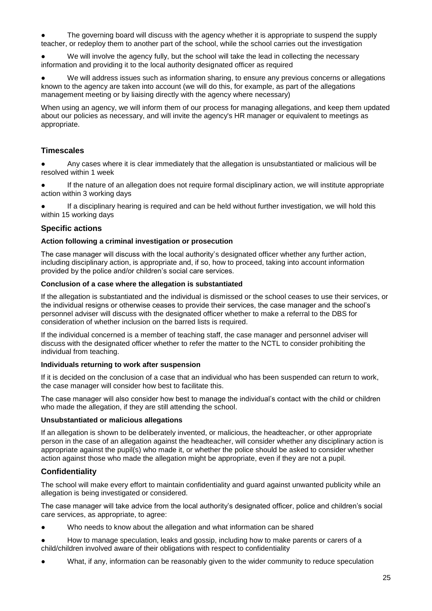The governing board will discuss with the agency whether it is appropriate to suspend the supply teacher, or redeploy them to another part of the school, while the school carries out the investigation

We will involve the agency fully, but the school will take the lead in collecting the necessary information and providing it to the local authority designated officer as required

● We will address issues such as information sharing, to ensure any previous concerns or allegations known to the agency are taken into account (we will do this, for example, as part of the allegations management meeting or by liaising directly with the agency where necessary)

When using an agency, we will inform them of our process for managing allegations, and keep them updated about our policies as necessary, and will invite the agency's HR manager or equivalent to meetings as appropriate.

### **Timescales**

Any cases where it is clear immediately that the allegation is unsubstantiated or malicious will be resolved within 1 week

● If the nature of an allegation does not require formal disciplinary action, we will institute appropriate action within 3 working days

If a disciplinary hearing is required and can be held without further investigation, we will hold this within 15 working days

### **Specific actions**

#### **Action following a criminal investigation or prosecution**

The case manager will discuss with the local authority's designated officer whether any further action, including disciplinary action, is appropriate and, if so, how to proceed, taking into account information provided by the police and/or children's social care services.

### **Conclusion of a case where the allegation is substantiated**

If the allegation is substantiated and the individual is dismissed or the school ceases to use their services, or the individual resigns or otherwise ceases to provide their services, the case manager and the school's personnel adviser will discuss with the designated officer whether to make a referral to the DBS for consideration of whether inclusion on the barred lists is required.

If the individual concerned is a member of teaching staff, the case manager and personnel adviser will discuss with the designated officer whether to refer the matter to the NCTL to consider prohibiting the individual from teaching.

#### **Individuals returning to work after suspension**

If it is decided on the conclusion of a case that an individual who has been suspended can return to work, the case manager will consider how best to facilitate this.

The case manager will also consider how best to manage the individual's contact with the child or children who made the allegation, if they are still attending the school.

#### **Unsubstantiated or malicious allegations**

If an allegation is shown to be deliberately invented, or malicious, the headteacher, or other appropriate person in the case of an allegation against the headteacher, will consider whether any disciplinary action is appropriate against the pupil(s) who made it, or whether the police should be asked to consider whether action against those who made the allegation might be appropriate, even if they are not a pupil.

### **Confidentiality**

The school will make every effort to maintain confidentiality and guard against unwanted publicity while an allegation is being investigated or considered.

The case manager will take advice from the local authority's designated officer, police and children's social care services, as appropriate, to agree:

- Who needs to know about the allegation and what information can be shared
- How to manage speculation, leaks and gossip, including how to make parents or carers of a child/children involved aware of their obligations with respect to confidentiality
- What, if any, information can be reasonably given to the wider community to reduce speculation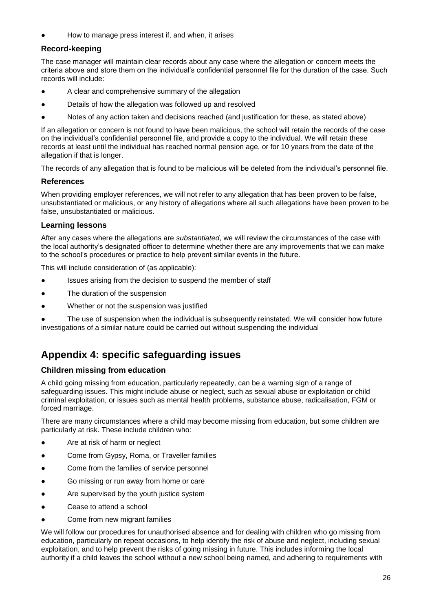How to manage press interest if, and when, it arises

## **Record-keeping**

The case manager will maintain clear records about any case where the allegation or concern meets the criteria above and store them on the individual's confidential personnel file for the duration of the case. Such records will include:

- A clear and comprehensive summary of the allegation
- Details of how the allegation was followed up and resolved
- Notes of any action taken and decisions reached (and justification for these, as stated above)

If an allegation or concern is not found to have been malicious, the school will retain the records of the case on the individual's confidential personnel file, and provide a copy to the individual. We will retain these records at least until the individual has reached normal pension age, or for 10 years from the date of the allegation if that is longer.

The records of any allegation that is found to be malicious will be deleted from the individual's personnel file.

### **References**

When providing employer references, we will not refer to any allegation that has been proven to be false, unsubstantiated or malicious, or any history of allegations where all such allegations have been proven to be false, unsubstantiated or malicious.

### **Learning lessons**

After any cases where the allegations are *substantiated*, we will review the circumstances of the case with the local authority's designated officer to determine whether there are any improvements that we can make to the school's procedures or practice to help prevent similar events in the future.

This will include consideration of (as applicable):

- Issues arising from the decision to suspend the member of staff
- The duration of the suspension
- Whether or not the suspension was justified

The use of suspension when the individual is subsequently reinstated. We will consider how future investigations of a similar nature could be carried out without suspending the individual

# **Appendix 4: specific safeguarding issues**

### **Children missing from education**

A child going missing from education, particularly repeatedly, can be a warning sign of a range of safeguarding issues. This might include abuse or neglect, such as sexual abuse or exploitation or child criminal exploitation, or issues such as mental health problems, substance abuse, radicalisation, FGM or forced marriage.

There are many circumstances where a child may become missing from education, but some children are particularly at risk. These include children who:

- Are at risk of harm or neglect
- Come from Gypsy, Roma, or Traveller families
- Come from the families of service personnel
- Go missing or run away from home or care
- Are supervised by the youth justice system
- Cease to attend a school
- Come from new migrant families

We will follow our procedures for unauthorised absence and for dealing with children who go missing from education, particularly on repeat occasions, to help identify the risk of abuse and neglect, including sexual exploitation, and to help prevent the risks of going missing in future. This includes informing the local authority if a child leaves the school without a new school being named, and adhering to requirements with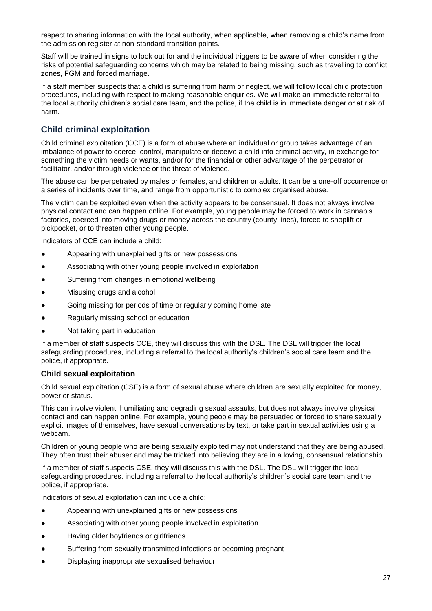respect to sharing information with the local authority, when applicable, when removing a child's name from the admission register at non-standard transition points.

Staff will be trained in signs to look out for and the individual triggers to be aware of when considering the risks of potential safeguarding concerns which may be related to being missing, such as travelling to conflict zones, FGM and forced marriage.

If a staff member suspects that a child is suffering from harm or neglect, we will follow local child protection procedures, including with respect to making reasonable enquiries. We will make an immediate referral to the local authority children's social care team, and the police, if the child is in immediate danger or at risk of harm.

# **Child criminal exploitation**

Child criminal exploitation (CCE) is a form of abuse where an individual or group takes advantage of an imbalance of power to coerce, control, manipulate or deceive a child into criminal activity, in exchange for something the victim needs or wants, and/or for the financial or other advantage of the perpetrator or facilitator, and/or through violence or the threat of violence.

The abuse can be perpetrated by males or females, and children or adults. It can be a one-off occurrence or a series of incidents over time, and range from opportunistic to complex organised abuse.

The victim can be exploited even when the activity appears to be consensual. It does not always involve physical contact and can happen online. For example, young people may be forced to work in cannabis factories, coerced into moving drugs or money across the country (county lines), forced to shoplift or pickpocket, or to threaten other young people.

Indicators of CCE can include a child:

- Appearing with unexplained gifts or new possessions
- Associating with other young people involved in exploitation
- Suffering from changes in emotional wellbeing
- Misusing drugs and alcohol
- Going missing for periods of time or regularly coming home late
- Regularly missing school or education
- Not taking part in education

If a member of staff suspects CCE, they will discuss this with the DSL. The DSL will trigger the local safeguarding procedures, including a referral to the local authority's children's social care team and the police, if appropriate.

### **Child sexual exploitation**

Child sexual exploitation (CSE) is a form of sexual abuse where children are sexually exploited for money, power or status.

This can involve violent, humiliating and degrading sexual assaults, but does not always involve physical contact and can happen online. For example, young people may be persuaded or forced to share sexually explicit images of themselves, have sexual conversations by text, or take part in sexual activities using a webcam.

Children or young people who are being sexually exploited may not understand that they are being abused. They often trust their abuser and may be tricked into believing they are in a loving, consensual relationship.

If a member of staff suspects CSE, they will discuss this with the DSL. The DSL will trigger the local safeguarding procedures, including a referral to the local authority's children's social care team and the police, if appropriate.

Indicators of sexual exploitation can include a child:

- Appearing with unexplained gifts or new possessions
- Associating with other young people involved in exploitation
- Having older boyfriends or girlfriends
- Suffering from sexually transmitted infections or becoming pregnant
- Displaying inappropriate sexualised behaviour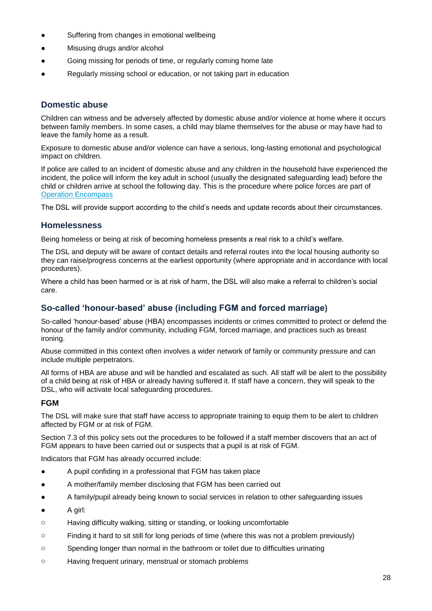- Suffering from changes in emotional wellbeing
- Misusing drugs and/or alcohol
- Going missing for periods of time, or regularly coming home late
- Regularly missing school or education, or not taking part in education

# **Domestic abuse**

Children can witness and be adversely affected by domestic abuse and/or violence at home where it occurs between family members. In some cases, a child may blame themselves for the abuse or may have had to leave the family home as a result.

Exposure to domestic abuse and/or violence can have a serious, long-lasting emotional and psychological impact on children.

If police are called to an incident of domestic abuse and any children in the household have experienced the incident, the police will inform the key adult in school (usually the designated safeguarding lead) before the child or children arrive at school the following day. This is the procedure where police forces are part of [Operation Encompass](https://www.operationencompass.org/)

The DSL will provide support according to the child's needs and update records about their circumstances.

### **Homelessness**

Being homeless or being at risk of becoming homeless presents a real risk to a child's welfare.

The DSL and deputy will be aware of contact details and referral routes into the local housing authority so they can raise/progress concerns at the earliest opportunity (where appropriate and in accordance with local procedures).

Where a child has been harmed or is at risk of harm, the DSL will also make a referral to children's social care.

# **So-called 'honour-based' abuse (including FGM and forced marriage)**

So-called 'honour-based' abuse (HBA) encompasses incidents or crimes committed to protect or defend the honour of the family and/or community, including FGM, forced marriage, and practices such as breast ironing.

Abuse committed in this context often involves a wider network of family or community pressure and can include multiple perpetrators.

All forms of HBA are abuse and will be handled and escalated as such. All staff will be alert to the possibility of a child being at risk of HBA or already having suffered it. If staff have a concern, they will speak to the DSL, who will activate local safeguarding procedures.

### **FGM**

The DSL will make sure that staff have access to appropriate training to equip them to be alert to children affected by FGM or at risk of FGM.

Section 7.3 of this policy sets out the procedures to be followed if a staff member discovers that an act of FGM appears to have been carried out or suspects that a pupil is at risk of FGM.

Indicators that FGM has already occurred include:

- A pupil confiding in a professional that FGM has taken place
- A mother/family member disclosing that FGM has been carried out
- A family/pupil already being known to social services in relation to other safeguarding issues
- A girl:
- o Having difficulty walking, sitting or standing, or looking uncomfortable
- o Finding it hard to sit still for long periods of time (where this was not a problem previously)
- o Spending longer than normal in the bathroom or toilet due to difficulties urinating
- o Having frequent urinary, menstrual or stomach problems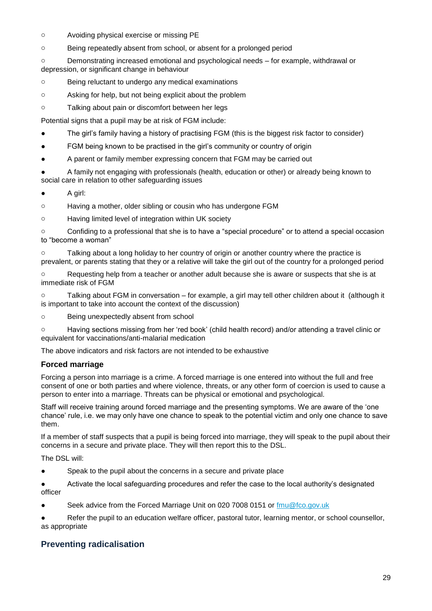- o Avoiding physical exercise or missing PE
- o Being repeatedly absent from school, or absent for a prolonged period

o Demonstrating increased emotional and psychological needs – for example, withdrawal or depression, or significant change in behaviour

- o Being reluctant to undergo any medical examinations
- o Asking for help, but not being explicit about the problem
- o Talking about pain or discomfort between her legs

Potential signs that a pupil may be at risk of FGM include:

- The girl's family having a history of practising FGM (this is the biggest risk factor to consider)
- FGM being known to be practised in the girl's community or country of origin
- A parent or family member expressing concern that FGM may be carried out

A family not engaging with professionals (health, education or other) or already being known to social care in relation to other safeguarding issues

● A girl:

o Having a mother, older sibling or cousin who has undergone FGM

o Having limited level of integration within UK society

o Confiding to a professional that she is to have a "special procedure" or to attend a special occasion to "become a woman"

o Talking about a long holiday to her country of origin or another country where the practice is prevalent, or parents stating that they or a relative will take the girl out of the country for a prolonged period

o Requesting help from a teacher or another adult because she is aware or suspects that she is at immediate risk of FGM

o Talking about FGM in conversation – for example, a girl may tell other children about it (although it is important to take into account the context of the discussion)

o Being unexpectedly absent from school

o Having sections missing from her 'red book' (child health record) and/or attending a travel clinic or equivalent for vaccinations/anti-malarial medication

The above indicators and risk factors are not intended to be exhaustive

### **Forced marriage**

Forcing a person into marriage is a crime. A forced marriage is one entered into without the full and free consent of one or both parties and where violence, threats, or any other form of coercion is used to cause a person to enter into a marriage. Threats can be physical or emotional and psychological.

Staff will receive training around forced marriage and the presenting symptoms. We are aware of the 'one chance' rule, i.e. we may only have one chance to speak to the potential victim and only one chance to save them.

If a member of staff suspects that a pupil is being forced into marriage, they will speak to the pupil about their concerns in a secure and private place. They will then report this to the DSL.

The DSL will:

Speak to the pupil about the concerns in a secure and private place

● Activate the local safeguarding procedures and refer the case to the local authority's designated officer

Seek advice from the Forced Marriage Unit on 020 7008 0151 or [fmu@fco.gov.uk](mailto:fmu@fco.gov.uk)

Refer the pupil to an education welfare officer, pastoral tutor, learning mentor, or school counsellor, as appropriate

# **Preventing radicalisation**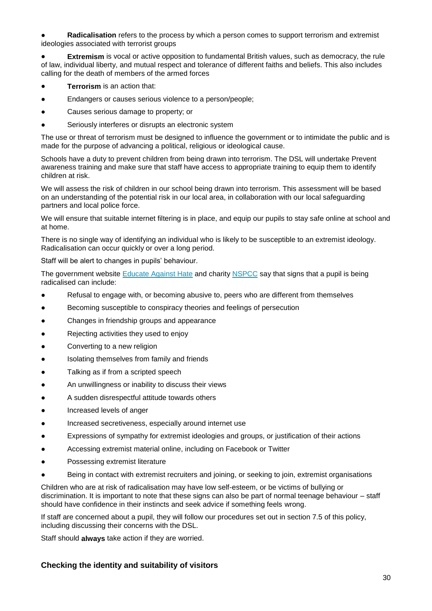Radicalisation refers to the process by which a person comes to support terrorism and extremist ideologies associated with terrorist groups

**Extremism** is vocal or active opposition to fundamental British values, such as democracy, the rule of law, individual liberty, and mutual respect and tolerance of different faiths and beliefs. This also includes calling for the death of members of the armed forces

- **Terrorism** is an action that:
- Endangers or causes serious violence to a person/people;
- Causes serious damage to property; or
- Seriously interferes or disrupts an electronic system

The use or threat of terrorism must be designed to influence the government or to intimidate the public and is made for the purpose of advancing a political, religious or ideological cause.

Schools have a duty to prevent children from being drawn into terrorism. The DSL will undertake Prevent awareness training and make sure that staff have access to appropriate training to equip them to identify children at risk.

We will assess the risk of children in our school being drawn into terrorism. This assessment will be based on an understanding of the potential risk in our local area, in collaboration with our local safeguarding partners and local police force.

We will ensure that suitable internet filtering is in place, and equip our pupils to stay safe online at school and at home.

There is no single way of identifying an individual who is likely to be susceptible to an extremist ideology. Radicalisation can occur quickly or over a long period.

Staff will be alert to changes in pupils' behaviour.

The government website **Educate Against Hate and charity [NSPCC](https://www.nspcc.org.uk/what-you-can-do/report-abuse/dedicated-helplines/protecting-children-from-radicalisation/)** say that signs that a pupil is being radicalised can include:

- Refusal to engage with, or becoming abusive to, peers who are different from themselves
- Becoming susceptible to conspiracy theories and feelings of persecution
- Changes in friendship groups and appearance
- Rejecting activities they used to enjoy
- Converting to a new religion
- Isolating themselves from family and friends
- Talking as if from a scripted speech
- An unwillingness or inability to discuss their views
- A sudden disrespectful attitude towards others
- Increased levels of anger
- Increased secretiveness, especially around internet use
- Expressions of sympathy for extremist ideologies and groups, or justification of their actions
- Accessing extremist material online, including on Facebook or Twitter
- Possessing extremist literature
- Being in contact with extremist recruiters and joining, or seeking to join, extremist organisations

Children who are at risk of radicalisation may have low self-esteem, or be victims of bullying or discrimination. It is important to note that these signs can also be part of normal teenage behaviour – staff should have confidence in their instincts and seek advice if something feels wrong.

If staff are concerned about a pupil, they will follow our procedures set out in section 7.5 of this policy, including discussing their concerns with the DSL.

Staff should **always** take action if they are worried.

### **Checking the identity and suitability of visitors**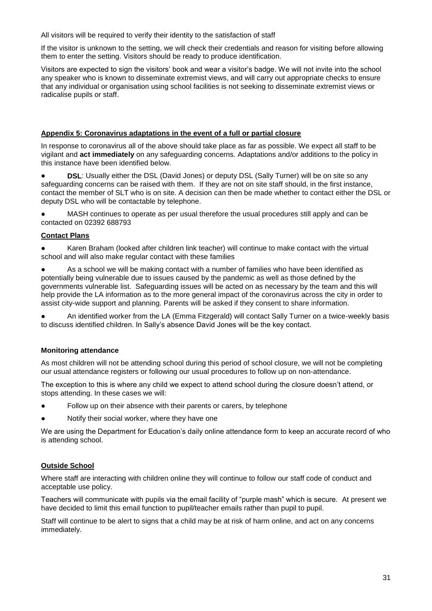All visitors will be required to verify their identity to the satisfaction of staff

If the visitor is unknown to the setting, we will check their credentials and reason for visiting before allowing them to enter the setting. Visitors should be ready to produce identification.

Visitors are expected to sign the visitors' book and wear a visitor's badge. We will not invite into the school any speaker who is known to disseminate extremist views, and will carry out appropriate checks to ensure that any individual or organisation using school facilities is not seeking to disseminate extremist views or radicalise pupils or staff.

### **Appendix 5: Coronavirus adaptations in the event of a full or partial closure**

In response to coronavirus all of the above should take place as far as possible. We expect all staff to be vigilant and **act immediately** on any safeguarding concerns. Adaptations and/or additions to the policy in this instance have been identified below.

**DSL:** Usually either the DSL (David Jones) or deputy DSL (Sally Turner) will be on site so any safeguarding concerns can be raised with them. If they are not on site staff should, in the first instance, contact the member of SLT who is on site. A decision can then be made whether to contact either the DSL or deputy DSL who will be contactable by telephone.

● MASH continues to operate as per usual therefore the usual procedures still apply and can be contacted on 02392 688793

### **Contact Plans**

● Karen Braham (looked after children link teacher) will continue to make contact with the virtual school and will also make regular contact with these families

As a school we will be making contact with a number of families who have been identified as potentially being vulnerable due to issues caused by the pandemic as well as those defined by the governments vulnerable list. Safeguarding issues will be acted on as necessary by the team and this will help provide the LA information as to the more general impact of the coronavirus across the city in order to assist city-wide support and planning. Parents will be asked if they consent to share information.

An identified worker from the LA (Emma Fitzgerald) will contact Sally Turner on a twice-weekly basis to discuss identified children. In Sally's absence David Jones will be the key contact.

### **Monitoring attendance**

As most children will not be attending school during this period of school closure, we will not be completing our usual attendance registers or following our usual procedures to follow up on non-attendance.

The exception to this is where any child we expect to attend school during the closure doesn't attend, or stops attending. In these cases we will:

- Follow up on their absence with their parents or carers, by telephone
- Notify their social worker, where they have one

We are using the Department for Education's daily online attendance form to keep an accurate record of who is attending school.

### **Outside School**

Where staff are interacting with children online they will continue to follow our staff code of conduct and acceptable use policy.

Teachers will communicate with pupils via the email facility of "purple mash" which is secure. At present we have decided to limit this email function to pupil/teacher emails rather than pupil to pupil.

Staff will continue to be alert to signs that a child may be at risk of harm online, and act on any concerns immediately.